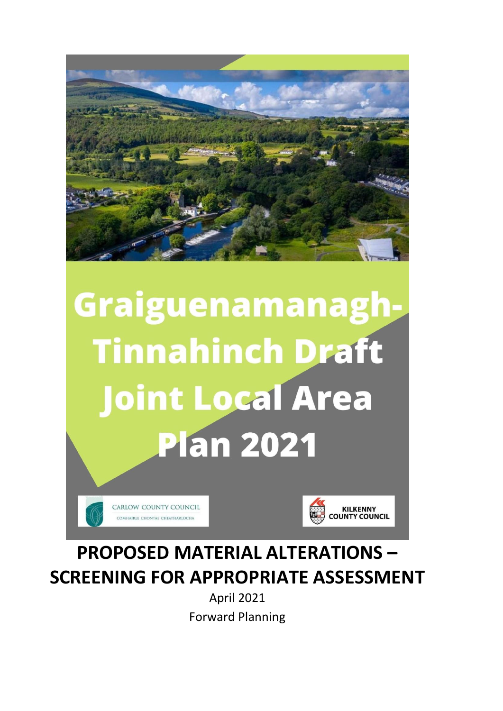

# Graiguenamanagh-**Tinnahinch Draft Joint Local Area Plan 2021**





# **PROPOSED MATERIAL ALTERATIONS – SCREENING FOR APPROPRIATE ASSESSMENT**

April 2021 Forward Planning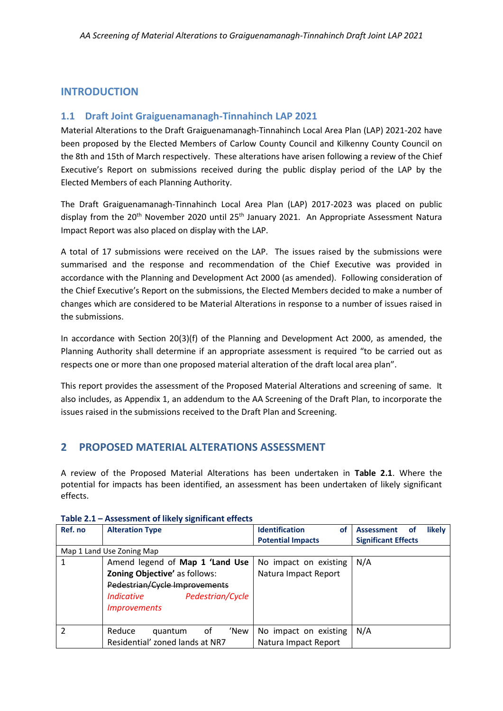# **INTRODUCTION**

### **1.1 Draft Joint Graiguenamanagh-Tinnahinch LAP 2021**

Material Alterations to the Draft Graiguenamanagh-Tinnahinch Local Area Plan (LAP) 2021-202 have been proposed by the Elected Members of Carlow County Council and Kilkenny County Council on the 8th and 15th of March respectively. These alterations have arisen following a review of the Chief Executive's Report on submissions received during the public display period of the LAP by the Elected Members of each Planning Authority.

The Draft Graiguenamanagh-Tinnahinch Local Area Plan (LAP) 2017-2023 was placed on public display from the 20<sup>th</sup> November 2020 until 25<sup>th</sup> January 2021. An Appropriate Assessment Natura Impact Report was also placed on display with the LAP.

A total of 17 submissions were received on the LAP. The issues raised by the submissions were summarised and the response and recommendation of the Chief Executive was provided in accordance with the Planning and Development Act 2000 (as amended). Following consideration of the Chief Executive's Report on the submissions, the Elected Members decided to make a number of changes which are considered to be Material Alterations in response to a number of issues raised in the submissions.

In accordance with Section 20(3)(f) of the Planning and Development Act 2000, as amended, the Planning Authority shall determine if an appropriate assessment is required "to be carried out as respects one or more than one proposed material alteration of the draft local area plan".

This report provides the assessment of the Proposed Material Alterations and screening of same. It also includes, as Appendix 1, an addendum to the AA Screening of the Draft Plan, to incorporate the issues raised in the submissions received to the Draft Plan and Screening.

## **2 PROPOSED MATERIAL ALTERATIONS ASSESSMENT**

A review of the Proposed Material Alterations has been undertaken in **Table 2.1**. Where the potential for impacts has been identified, an assessment has been undertaken of likely significant effects.

| Ref. no | <b>Alteration Type</b>          | <b>Identification</b><br>οf | likely<br><b>Assessment</b><br>οf |
|---------|---------------------------------|-----------------------------|-----------------------------------|
|         |                                 | <b>Potential Impacts</b>    | <b>Significant Effects</b>        |
|         | Map 1 Land Use Zoning Map       |                             |                                   |
|         | Amend legend of Map 1 'Land Use | No impact on existing       | N/A                               |
|         | Zoning Objective' as follows:   | Natura Impact Report        |                                   |
|         | Pedestrian/Cycle Improvements   |                             |                                   |
|         | Pedestrian/Cycle<br>Indicative  |                             |                                   |
|         | <i>Improvements</i>             |                             |                                   |
|         |                                 |                             |                                   |
| 2       | Reduce<br>'New<br>οf<br>quantum | No impact on existing       | N/A                               |
|         | Residential' zoned lands at NR7 | Natura Impact Report        |                                   |

#### **Table 2.1 – Assessment of likely significant effects**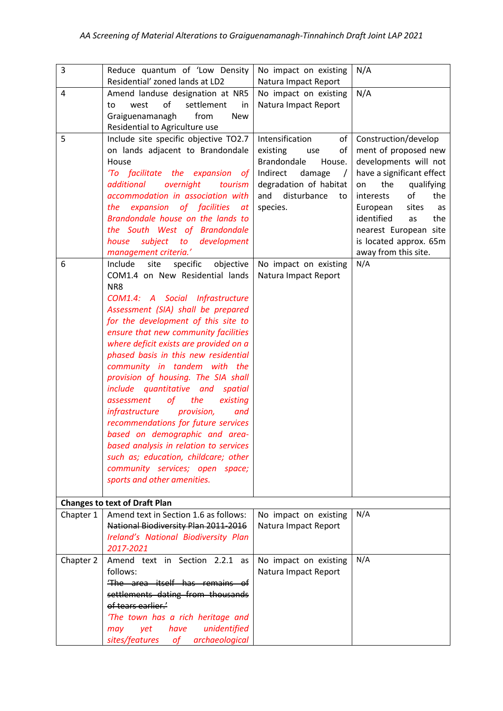| 3         | Reduce quantum of 'Low Density                                                                                                                                                                                                                                                                                                                                                                                                                                                                                                                                                                                                                                                                                                                            | No impact on existing                                                                                                                                                              | N/A                                                                                                                                                                                                                                                                                      |
|-----------|-----------------------------------------------------------------------------------------------------------------------------------------------------------------------------------------------------------------------------------------------------------------------------------------------------------------------------------------------------------------------------------------------------------------------------------------------------------------------------------------------------------------------------------------------------------------------------------------------------------------------------------------------------------------------------------------------------------------------------------------------------------|------------------------------------------------------------------------------------------------------------------------------------------------------------------------------------|------------------------------------------------------------------------------------------------------------------------------------------------------------------------------------------------------------------------------------------------------------------------------------------|
| 4         | Residential' zoned lands at LD2<br>Amend landuse designation at NR5<br>o <sub>f</sub><br>settlement<br>west<br>in<br>to<br>from<br>Graiguenamanagh<br><b>New</b>                                                                                                                                                                                                                                                                                                                                                                                                                                                                                                                                                                                          | Natura Impact Report<br>No impact on existing<br>Natura Impact Report                                                                                                              | N/A                                                                                                                                                                                                                                                                                      |
|           | Residential to Agriculture use                                                                                                                                                                                                                                                                                                                                                                                                                                                                                                                                                                                                                                                                                                                            |                                                                                                                                                                                    |                                                                                                                                                                                                                                                                                          |
| 5         | Include site specific objective TO2.7<br>on lands adjacent to Brandondale<br>House<br>'To facilitate the expansion of<br>additional<br>overnight<br>tourism<br>accommodation in association with<br>the expansion of facilities<br>at<br>Brandondale house on the lands to<br>the South West of Brandondale<br>subject to development<br>house<br>management criteria.'                                                                                                                                                                                                                                                                                                                                                                                   | Intensification<br>of<br>existing<br>of<br>use<br><b>Brandondale</b><br>House.<br>Indirect<br>damage<br>$\prime$<br>degradation of habitat<br>disturbance<br>and<br>to<br>species. | Construction/develop<br>ment of proposed new<br>developments will not<br>have a significant effect<br>the<br>qualifying<br>on<br>of<br>the<br>interests<br>sites<br>European<br>as<br>identified<br>the<br>as<br>nearest European site<br>is located approx. 65m<br>away from this site. |
| 6         | site<br>specific<br>objective<br>Include<br>COM1.4 on New Residential lands<br>NR8<br>COM1.4: A Social Infrastructure<br>Assessment (SIA) shall be prepared<br>for the development of this site to<br>ensure that new community facilities<br>where deficit exists are provided on a<br>phased basis in this new residential<br>community in tandem with the<br>provision of housing. The SIA shall<br>include quantitative and spatial<br>the<br>assessment<br><b>of</b><br>existing<br>provision,<br>infrastructure<br>and<br>recommendations for future services<br>based on demographic and area-<br>based analysis in relation to services<br>such as; education, childcare; other<br>community services; open space;<br>sports and other amenities. | No impact on existing<br>Natura Impact Report                                                                                                                                      | N/A                                                                                                                                                                                                                                                                                      |
|           | <b>Changes to text of Draft Plan</b>                                                                                                                                                                                                                                                                                                                                                                                                                                                                                                                                                                                                                                                                                                                      |                                                                                                                                                                                    |                                                                                                                                                                                                                                                                                          |
| Chapter 1 | Amend text in Section 1.6 as follows:<br>National Biodiversity Plan 2011-2016<br>Ireland's National Biodiversity Plan<br>2017-2021                                                                                                                                                                                                                                                                                                                                                                                                                                                                                                                                                                                                                        | No impact on existing<br>Natura Impact Report                                                                                                                                      | N/A                                                                                                                                                                                                                                                                                      |
| Chapter 2 | Amend text in Section 2.2.1 as<br>follows:<br>The area itself has remains of<br>settlements dating from thousands<br>of tears earlier.'<br>'The town has a rich heritage and<br>have<br>unidentified<br>yet<br>may<br>sites/features<br>archaeological<br><b>of</b>                                                                                                                                                                                                                                                                                                                                                                                                                                                                                       | No impact on existing<br>Natura Impact Report                                                                                                                                      | N/A                                                                                                                                                                                                                                                                                      |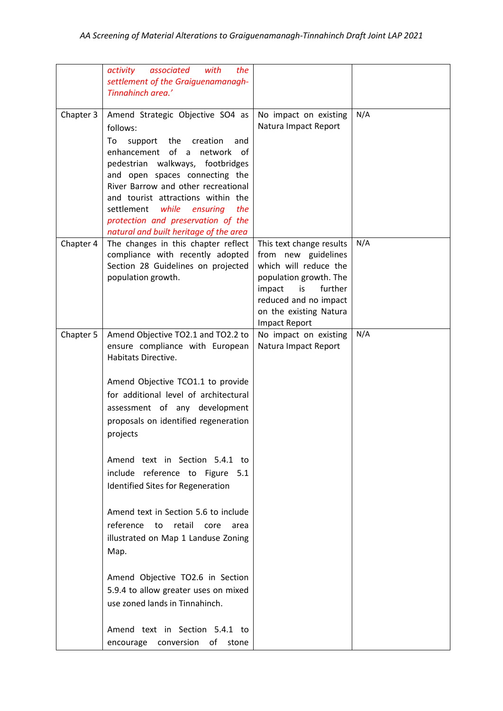|           | associated<br>activity<br>with<br>the<br>settlement of the Graiguenamanagh-<br>Tinnahinch area.'                                                                                                                                                                                                                                                                                                                                                                                                                                                                                                                                                                                               |                                                                                                                                                                                                          |     |
|-----------|------------------------------------------------------------------------------------------------------------------------------------------------------------------------------------------------------------------------------------------------------------------------------------------------------------------------------------------------------------------------------------------------------------------------------------------------------------------------------------------------------------------------------------------------------------------------------------------------------------------------------------------------------------------------------------------------|----------------------------------------------------------------------------------------------------------------------------------------------------------------------------------------------------------|-----|
| Chapter 3 | Amend Strategic Objective SO4 as<br>follows:<br>To<br>support the<br>creation<br>and<br>enhancement of a<br>network<br>of.<br>pedestrian walkways, footbridges<br>and open spaces connecting the<br>River Barrow and other recreational<br>and tourist attractions within the<br>settlement<br>while<br>the<br>ensuring<br>protection and preservation of the<br>natural and built heritage of the area                                                                                                                                                                                                                                                                                        | No impact on existing<br>Natura Impact Report                                                                                                                                                            | N/A |
| Chapter 4 | The changes in this chapter reflect<br>compliance with recently adopted<br>Section 28 Guidelines on projected<br>population growth.                                                                                                                                                                                                                                                                                                                                                                                                                                                                                                                                                            | This text change results<br>from new guidelines<br>which will reduce the<br>population growth. The<br>further<br>is<br>impact<br>reduced and no impact<br>on the existing Natura<br><b>Impact Report</b> | N/A |
| Chapter 5 | Amend Objective TO2.1 and TO2.2 to<br>ensure compliance with European<br>Habitats Directive.<br>Amend Objective TCO1.1 to provide<br>for additional level of architectural<br>assessment of any development<br>proposals on identified regeneration<br>projects<br>Amend text in Section 5.4.1 to<br>include reference to Figure 5.1<br>Identified Sites for Regeneration<br>Amend text in Section 5.6 to include<br>reference<br>retail core<br>to<br>area<br>illustrated on Map 1 Landuse Zoning<br>Map.<br>Amend Objective TO2.6 in Section<br>5.9.4 to allow greater uses on mixed<br>use zoned lands in Tinnahinch.<br>Amend text in Section 5.4.1 to<br>encourage conversion of<br>stone | No impact on existing<br>Natura Impact Report                                                                                                                                                            | N/A |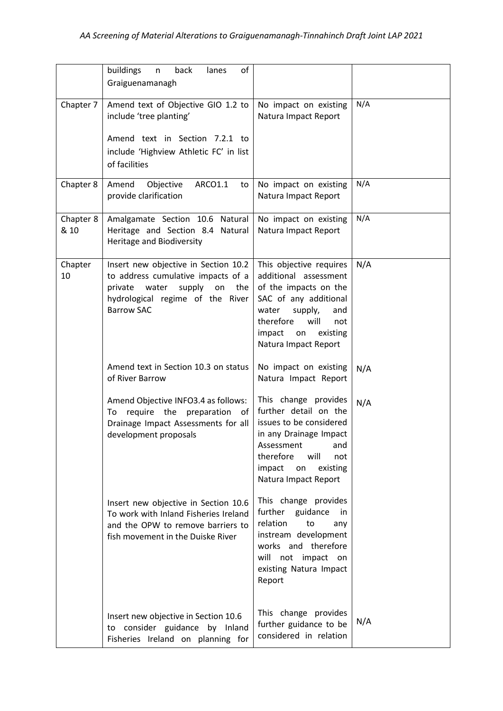|                   | of<br>buildings<br>back<br>lanes<br>n<br>Graiguenamanagh                                                                                                                       |                                                                                                                                                                                                               |     |
|-------------------|--------------------------------------------------------------------------------------------------------------------------------------------------------------------------------|---------------------------------------------------------------------------------------------------------------------------------------------------------------------------------------------------------------|-----|
| Chapter 7         | Amend text of Objective GIO 1.2 to<br>include 'tree planting'<br>Amend text in Section 7.2.1 to<br>include 'Highview Athletic FC' in list<br>of facilities                     | No impact on existing<br>Natura Impact Report                                                                                                                                                                 | N/A |
| Chapter 8         | Amend<br>Objective<br>ARCO1.1<br>to<br>provide clarification                                                                                                                   | No impact on existing<br>Natura Impact Report                                                                                                                                                                 | N/A |
| Chapter 8<br>& 10 | Amalgamate Section 10.6 Natural<br>Heritage and Section 8.4 Natural<br><b>Heritage and Biodiversity</b>                                                                        | No impact on existing<br>Natura Impact Report                                                                                                                                                                 | N/A |
| Chapter<br>10     | Insert new objective in Section 10.2<br>to address cumulative impacts of a<br>water<br>supply<br>the<br>private<br>on<br>hydrological regime of the River<br><b>Barrow SAC</b> | This objective requires<br>additional assessment<br>of the impacts on the<br>SAC of any additional<br>supply,<br>water<br>and<br>therefore<br>will<br>not<br>impact<br>on<br>existing<br>Natura Impact Report | N/A |
|                   | Amend text in Section 10.3 on status<br>of River Barrow                                                                                                                        | No impact on existing<br>Natura Impact Report                                                                                                                                                                 | N/A |
|                   | Amend Objective INFO3.4 as follows:<br>require the preparation of<br>To<br>Drainage Impact Assessments for all<br>development proposals                                        | This change provides<br>further detail on the<br>issues to be considered<br>in any Drainage Impact<br>Assessment<br>and<br>therefore<br>will<br>not<br>impact<br>existing<br>on<br>Natura Impact Report       | N/A |
|                   | Insert new objective in Section 10.6<br>To work with Inland Fisheries Ireland<br>and the OPW to remove barriers to<br>fish movement in the Duiske River                        | This change provides<br>further guidance<br>in<br>relation<br>to<br>any<br>instream development<br>works and therefore<br>will not impact on<br>existing Natura Impact<br>Report                              |     |
|                   | Insert new objective in Section 10.6<br>to consider guidance by Inland<br>Fisheries Ireland on planning for                                                                    | This change provides<br>further guidance to be<br>considered in relation                                                                                                                                      | N/A |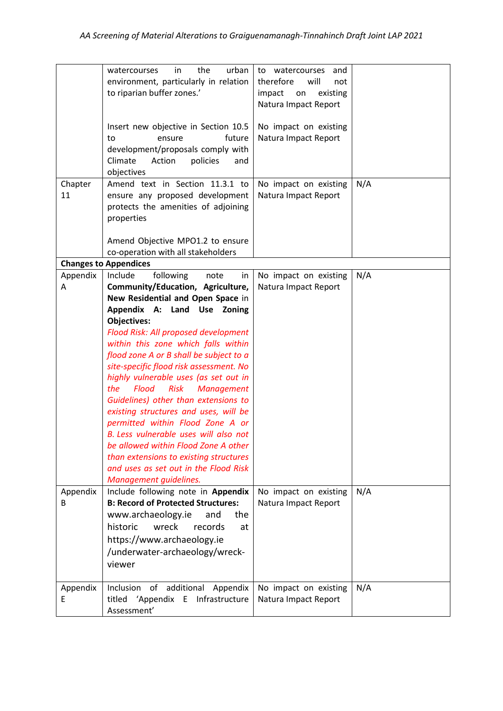|               | urban<br>the<br>in<br>watercourses<br>environment, particularly in relation<br>to riparian buffer zones.'<br>Insert new objective in Section 10.5<br>future<br>ensure<br>to<br>development/proposals comply with<br>Climate<br>Action<br>policies<br>and<br>objectives                                                                                                                                                                                                                                                                                                                                                                                                                                          | watercourses<br>to<br>and<br>therefore<br>will<br>not<br>impact<br>on<br>existing<br>Natura Impact Report<br>No impact on existing<br>Natura Impact Report |     |
|---------------|-----------------------------------------------------------------------------------------------------------------------------------------------------------------------------------------------------------------------------------------------------------------------------------------------------------------------------------------------------------------------------------------------------------------------------------------------------------------------------------------------------------------------------------------------------------------------------------------------------------------------------------------------------------------------------------------------------------------|------------------------------------------------------------------------------------------------------------------------------------------------------------|-----|
| Chapter<br>11 | Amend text in Section 11.3.1 to<br>ensure any proposed development<br>protects the amenities of adjoining<br>properties<br>Amend Objective MPO1.2 to ensure<br>co-operation with all stakeholders                                                                                                                                                                                                                                                                                                                                                                                                                                                                                                               | No impact on existing<br>Natura Impact Report                                                                                                              | N/A |
| Appendix      | <b>Changes to Appendices</b><br>Include<br>following<br>note                                                                                                                                                                                                                                                                                                                                                                                                                                                                                                                                                                                                                                                    |                                                                                                                                                            | N/A |
| A             | in<br>Community/Education, Agriculture,<br>New Residential and Open Space in<br>Appendix A: Land Use Zoning<br><b>Objectives:</b><br>Flood Risk: All proposed development<br>within this zone which falls within<br>flood zone A or B shall be subject to a<br>site-specific flood risk assessment. No<br>highly vulnerable uses (as set out in<br>Flood<br>the<br>Risk<br><b>Management</b><br>Guidelines) other than extensions to<br>existing structures and uses, will be<br>permitted within Flood Zone A or<br>B. Less vulnerable uses will also not<br>be allowed within Flood Zone A other<br>than extensions to existing structures<br>and uses as set out in the Flood Risk<br>Management guidelines. | No impact on existing<br>Natura Impact Report                                                                                                              |     |
| Appendix<br>B | Include following note in Appendix<br><b>B: Record of Protected Structures:</b><br>www.archaeology.ie<br>the<br>and<br>historic<br>wreck<br>records<br>at<br>https://www.archaeology.ie<br>/underwater-archaeology/wreck-<br>viewer                                                                                                                                                                                                                                                                                                                                                                                                                                                                             | No impact on existing<br>Natura Impact Report                                                                                                              | N/A |
| Appendix<br>Ε | Inclusion of additional<br>Appendix<br>'Appendix E Infrastructure<br>titled<br>Assessment'                                                                                                                                                                                                                                                                                                                                                                                                                                                                                                                                                                                                                      | No impact on existing<br>Natura Impact Report                                                                                                              | N/A |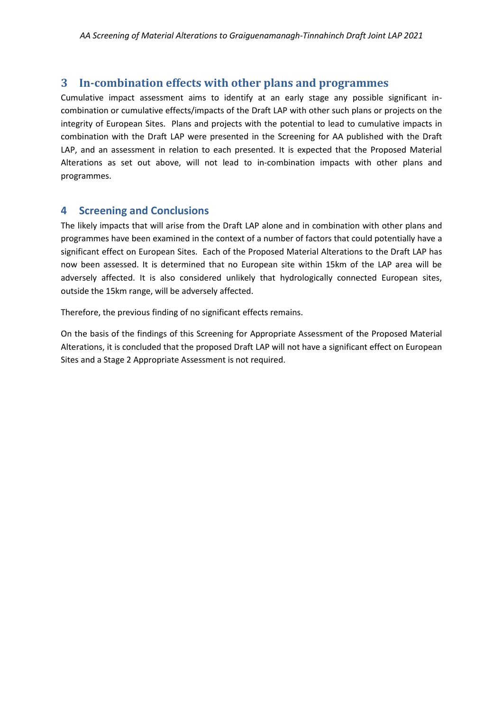# **3 In-combination effects with other plans and programmes**

Cumulative impact assessment aims to identify at an early stage any possible significant incombination or cumulative effects/impacts of the Draft LAP with other such plans or projects on the integrity of European Sites. Plans and projects with the potential to lead to cumulative impacts in combination with the Draft LAP were presented in the Screening for AA published with the Draft LAP, and an assessment in relation to each presented. It is expected that the Proposed Material Alterations as set out above, will not lead to in-combination impacts with other plans and programmes.

# **4 Screening and Conclusions**

The likely impacts that will arise from the Draft LAP alone and in combination with other plans and programmes have been examined in the context of a number of factors that could potentially have a significant effect on European Sites. Each of the Proposed Material Alterations to the Draft LAP has now been assessed. It is determined that no European site within 15km of the LAP area will be adversely affected. It is also considered unlikely that hydrologically connected European sites, outside the 15km range, will be adversely affected.

Therefore, the previous finding of no significant effects remains.

On the basis of the findings of this Screening for Appropriate Assessment of the Proposed Material Alterations, it is concluded that the proposed Draft LAP will not have a significant effect on European Sites and a Stage 2 Appropriate Assessment is not required.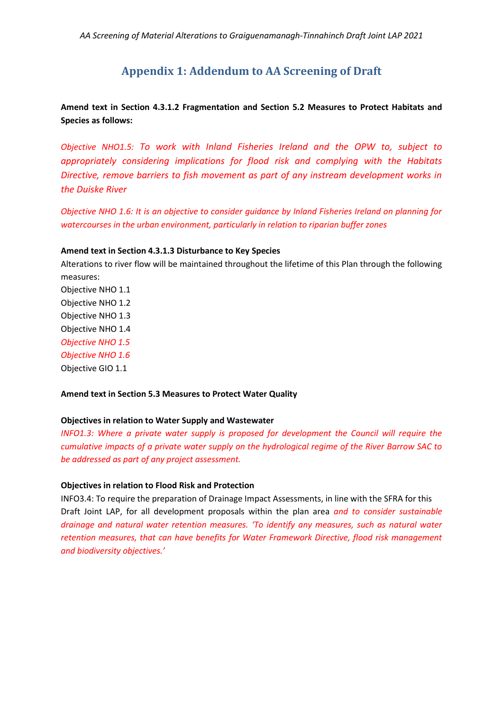# **Appendix 1: Addendum to AA Screening of Draft**

**Amend text in Section 4.3.1.2 Fragmentation and Section 5.2 Measures to Protect Habitats and Species as follows:** 

*Objective NHO1.5: To work with Inland Fisheries Ireland and the OPW to, subject to appropriately considering implications for flood risk and complying with the Habitats Directive, remove barriers to fish movement as part of any instream development works in the Duiske River*

*Objective NHO 1.6: It is an objective to consider guidance by Inland Fisheries Ireland on planning for watercourses in the urban environment, particularly in relation to riparian buffer zones*

#### **Amend text in Section 4.3.1.3 Disturbance to Key Species**

Alterations to river flow will be maintained throughout the lifetime of this Plan through the following measures: Objective NHO 1.1

Objective NHO 1.2 Objective NHO 1.3 Objective NHO 1.4 *Objective NHO 1.5 Objective NHO 1.6* Objective GIO 1.1

#### **Amend text in Section 5.3 Measures to Protect Water Quality**

#### **Objectives in relation to Water Supply and Wastewater**

*INFO1.3: Where a private water supply is proposed for development the Council will require the cumulative impacts of a private water supply on the hydrological regime of the River Barrow SAC to be addressed as part of any project assessment.*

#### **Objectives in relation to Flood Risk and Protection**

INFO3.4: To require the preparation of Drainage Impact Assessments, in line with the SFRA for this Draft Joint LAP, for all development proposals within the plan area *and to consider sustainable drainage and natural water retention measures. 'To identify any measures, such as natural water retention measures, that can have benefits for Water Framework Directive, flood risk management and biodiversity objectives.'*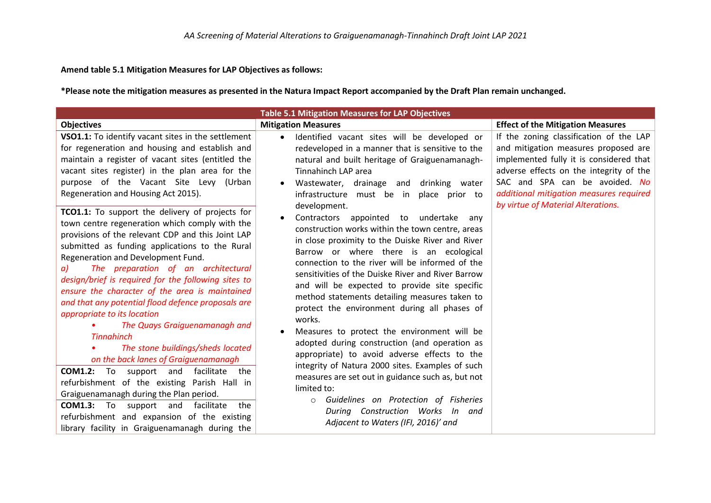#### **Amend table 5.1 Mitigation Measures for LAP Objectives as follows:**

**\*Please note the mitigation measures as presented in the Natura Impact Report accompanied by the Draft Plan remain unchanged.**

| <b>Table 5.1 Mitigation Measures for LAP Objectives</b>                                                                                                                                                                                                                                                                                                                                                                                                                                                                                                                                                                                                                                                                                                                                                                                                                                                                                       |                                                                                                                                                                                                                                                                                                                                                                                                                                                                                                                                                                                                                                                                                                                                                                                                                                                                                                                   |                                                                                                                                                                                                                                                                                          |  |
|-----------------------------------------------------------------------------------------------------------------------------------------------------------------------------------------------------------------------------------------------------------------------------------------------------------------------------------------------------------------------------------------------------------------------------------------------------------------------------------------------------------------------------------------------------------------------------------------------------------------------------------------------------------------------------------------------------------------------------------------------------------------------------------------------------------------------------------------------------------------------------------------------------------------------------------------------|-------------------------------------------------------------------------------------------------------------------------------------------------------------------------------------------------------------------------------------------------------------------------------------------------------------------------------------------------------------------------------------------------------------------------------------------------------------------------------------------------------------------------------------------------------------------------------------------------------------------------------------------------------------------------------------------------------------------------------------------------------------------------------------------------------------------------------------------------------------------------------------------------------------------|------------------------------------------------------------------------------------------------------------------------------------------------------------------------------------------------------------------------------------------------------------------------------------------|--|
| <b>Objectives</b>                                                                                                                                                                                                                                                                                                                                                                                                                                                                                                                                                                                                                                                                                                                                                                                                                                                                                                                             | <b>Mitigation Measures</b>                                                                                                                                                                                                                                                                                                                                                                                                                                                                                                                                                                                                                                                                                                                                                                                                                                                                                        | <b>Effect of the Mitigation Measures</b>                                                                                                                                                                                                                                                 |  |
| VSO1.1: To identify vacant sites in the settlement<br>for regeneration and housing and establish and<br>maintain a register of vacant sites (entitled the<br>vacant sites register) in the plan area for the<br>purpose of the Vacant Site Levy (Urban<br>Regeneration and Housing Act 2015).                                                                                                                                                                                                                                                                                                                                                                                                                                                                                                                                                                                                                                                 | Identified vacant sites will be developed or<br>$\bullet$<br>redeveloped in a manner that is sensitive to the<br>natural and built heritage of Graiguenamanagh-<br>Tinnahinch LAP area<br>Wastewater, drainage and drinking water<br>infrastructure must be in<br>place prior to                                                                                                                                                                                                                                                                                                                                                                                                                                                                                                                                                                                                                                  | If the zoning classification of the LAP<br>and mitigation measures proposed are<br>implemented fully it is considered that<br>adverse effects on the integrity of the<br>SAC and SPA can be avoided. No<br>additional mitigation measures required<br>by virtue of Material Alterations. |  |
| TCO1.1: To support the delivery of projects for<br>town centre regeneration which comply with the<br>provisions of the relevant CDP and this Joint LAP<br>submitted as funding applications to the Rural<br>Regeneration and Development Fund.<br>The preparation of an architectural<br>a)<br>design/brief is required for the following sites to<br>ensure the character of the area is maintained<br>and that any potential flood defence proposals are<br>appropriate to its location<br>The Quays Graiguenamanagh and<br><b>Tinnahinch</b><br>The stone buildings/sheds located<br>on the back lanes of Graiguenamanagh<br>facilitate<br><b>COM1.2:</b><br>To<br>and<br>support<br>the<br>refurbishment of the existing Parish Hall in<br>Graiguenamanagh during the Plan period.<br><b>COM1.3:</b> To support and<br>facilitate<br>the<br>refurbishment and expansion of the existing<br>library facility in Graiguenamanagh during the | development.<br>Contractors appointed to undertake<br>$\bullet$<br>anv<br>construction works within the town centre, areas<br>in close proximity to the Duiske River and River<br>Barrow or where there is an ecological<br>connection to the river will be informed of the<br>sensitivities of the Duiske River and River Barrow<br>and will be expected to provide site specific<br>method statements detailing measures taken to<br>protect the environment during all phases of<br>works.<br>Measures to protect the environment will be<br>$\bullet$<br>adopted during construction (and operation as<br>appropriate) to avoid adverse effects to the<br>integrity of Natura 2000 sites. Examples of such<br>measures are set out in guidance such as, but not<br>limited to:<br>Guidelines on Protection of Fisheries<br>$\circ$<br>During Construction Works In and<br>Adjacent to Waters (IFI, 2016)' and |                                                                                                                                                                                                                                                                                          |  |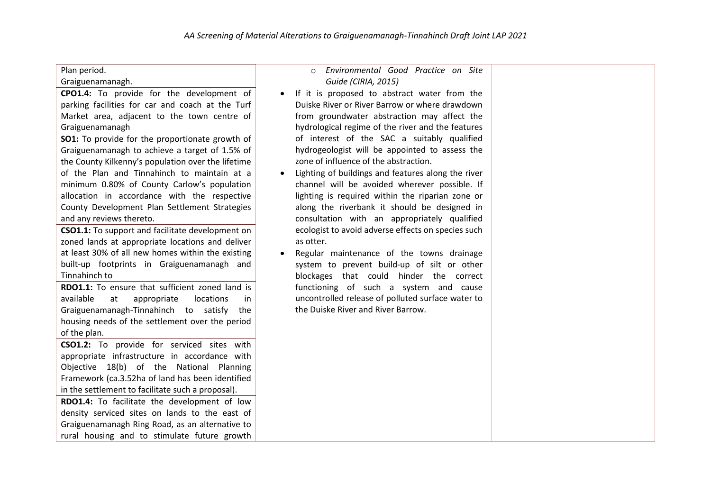|  | Plan period. |
|--|--------------|
|--|--------------|

#### Graiguenamanagh.

**CPO1.4:** To provide for the development of parking facilities for car and coach at the Turf Market area, adjacent to the town centre of Graiguenamanagh

**SO1:** To provide for the proportionate growth of Graiguenamanagh to achieve a target of 1.5% of the County Kilkenny's population over the lifetime of the Plan and Tinnahinch to maintain at a minimum 0.80% of County Carlow's population allocation in accordance with the respective County Development Plan Settlement Strategies and any reviews thereto.

**CSO1.1:** To support and facilitate development on zoned lands at appropriate locations and deliver at least 30% of all new homes within the existing built-up footprints in Graiguenamanagh and Tinnahinch to

**RDO1.1:** To ensure that sufficient zoned land is available at appropriate locations in Graiguenamanagh-Tinnahinch to satisfy the housing needs of the settlement over the period of the plan.

**CSO1.2:** To provide for serviced sites with appropriate infrastructure in accordance with Objective 18(b) of the National Planning Framework (ca.3.52ha of land has been identified in the settlement to facilitate such a proposal).

**RDO1.4:** To facilitate the development of low density serviced sites on lands to the east of Graiguenamanagh Ring Road, as an alternative to rural housing and to stimulate future growth

#### o *Environmental Good Practice on Site Guide (CIRIA, 2015)*

- If it is proposed to abstract water from the Duiske River or River Barrow or where drawdown from groundwater abstraction may affect the hydrological regime of the river and the features of interest of the SAC a suitably qualified hydrogeologist will be appointed to assess the zone of influence of the abstraction.
- Lighting of buildings and features along the river channel will be avoided wherever possible. If lighting is required within the riparian zone or along the riverbank it should be designed in consultation with an appropriately qualified ecologist to avoid adverse effects on species such as otter.
- Regular maintenance of the towns drainage system to prevent build‐up of silt or other blockages that could hinder the correct functioning of such a system and cause uncontrolled release of polluted surface water to the Duiske River and River Barrow.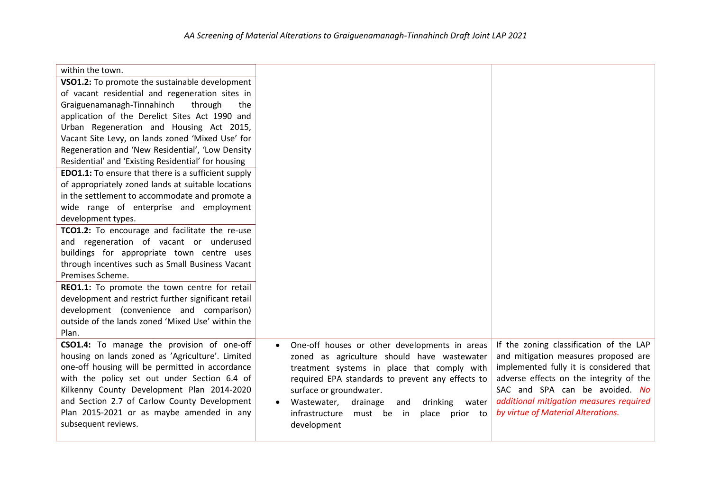| within the town.                                                                          |                                                      |                                                                               |
|-------------------------------------------------------------------------------------------|------------------------------------------------------|-------------------------------------------------------------------------------|
| VSO1.2: To promote the sustainable development                                            |                                                      |                                                                               |
| of vacant residential and regeneration sites in                                           |                                                      |                                                                               |
| Graiguenamanagh-Tinnahinch<br>through<br>the                                              |                                                      |                                                                               |
| application of the Derelict Sites Act 1990 and                                            |                                                      |                                                                               |
| Urban Regeneration and Housing Act 2015,                                                  |                                                      |                                                                               |
| Vacant Site Levy, on lands zoned 'Mixed Use' for                                          |                                                      |                                                                               |
| Regeneration and 'New Residential', 'Low Density                                          |                                                      |                                                                               |
| Residential' and 'Existing Residential' for housing                                       |                                                      |                                                                               |
| <b>EDO1.1:</b> To ensure that there is a sufficient supply                                |                                                      |                                                                               |
| of appropriately zoned lands at suitable locations                                        |                                                      |                                                                               |
| in the settlement to accommodate and promote a                                            |                                                      |                                                                               |
| wide range of enterprise and employment                                                   |                                                      |                                                                               |
| development types.                                                                        |                                                      |                                                                               |
| TCO1.2: To encourage and facilitate the re-use                                            |                                                      |                                                                               |
| and regeneration of vacant or underused                                                   |                                                      |                                                                               |
| buildings for appropriate town centre uses                                                |                                                      |                                                                               |
| through incentives such as Small Business Vacant                                          |                                                      |                                                                               |
| Premises Scheme.                                                                          |                                                      |                                                                               |
| REO1.1: To promote the town centre for retail                                             |                                                      |                                                                               |
| development and restrict further significant retail                                       |                                                      |                                                                               |
| development (convenience and comparison)                                                  |                                                      |                                                                               |
| outside of the lands zoned 'Mixed Use' within the                                         |                                                      |                                                                               |
| Plan.                                                                                     |                                                      |                                                                               |
| CSO1.4: To manage the provision of one-off                                                | One-off houses or other developments in areas        | If the zoning classification of the LAP                                       |
| housing on lands zoned as 'Agriculture'. Limited                                          | zoned as agriculture should have wastewater          | and mitigation measures proposed are                                          |
| one-off housing will be permitted in accordance                                           | treatment systems in place that comply with          | implemented fully it is considered that                                       |
| with the policy set out under Section 6.4 of                                              | required EPA standards to prevent any effects to     | adverse effects on the integrity of the                                       |
| Kilkenny County Development Plan 2014-2020                                                | surface or groundwater.                              | SAC and SPA can be avoided. No                                                |
| and Section 2.7 of Carlow County Development<br>Plan 2015-2021 or as maybe amended in any | Wastewater,<br>drainage<br>drinking<br>water<br>and  | additional mitigation measures required<br>by virtue of Material Alterations. |
| subsequent reviews.                                                                       | infrastructure<br>must be<br>in<br>prior to<br>place |                                                                               |
|                                                                                           | development                                          |                                                                               |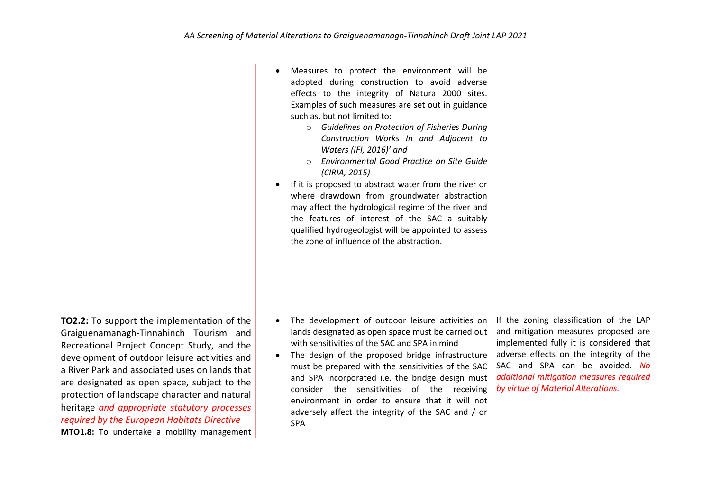|                                                                                                                                                                                                                                                                                                                                                                                                                                                                                       | Measures to protect the environment will be<br>$\bullet$<br>adopted during construction to avoid adverse<br>effects to the integrity of Natura 2000 sites.<br>Examples of such measures are set out in guidance<br>such as, but not limited to:<br>o Guidelines on Protection of Fisheries During<br>Construction Works In and Adjacent to<br>Waters (IFI, 2016)' and<br>Environmental Good Practice on Site Guide<br>(CIRIA, 2015)<br>If it is proposed to abstract water from the river or<br>٠<br>where drawdown from groundwater abstraction<br>may affect the hydrological regime of the river and<br>the features of interest of the SAC a suitably<br>qualified hydrogeologist will be appointed to assess<br>the zone of influence of the abstraction. |                                                                                                                                                                                                                                                                                          |
|---------------------------------------------------------------------------------------------------------------------------------------------------------------------------------------------------------------------------------------------------------------------------------------------------------------------------------------------------------------------------------------------------------------------------------------------------------------------------------------|----------------------------------------------------------------------------------------------------------------------------------------------------------------------------------------------------------------------------------------------------------------------------------------------------------------------------------------------------------------------------------------------------------------------------------------------------------------------------------------------------------------------------------------------------------------------------------------------------------------------------------------------------------------------------------------------------------------------------------------------------------------|------------------------------------------------------------------------------------------------------------------------------------------------------------------------------------------------------------------------------------------------------------------------------------------|
| TO2.2: To support the implementation of the<br>Graiguenamanagh-Tinnahinch Tourism and<br>Recreational Project Concept Study, and the<br>development of outdoor leisure activities and<br>a River Park and associated uses on lands that<br>are designated as open space, subject to the<br>protection of landscape character and natural<br>heritage and appropriate statutory processes<br>required by the European Habitats Directive<br>MTO1.8: To undertake a mobility management | The development of outdoor leisure activities on<br>$\bullet$<br>lands designated as open space must be carried out<br>with sensitivities of the SAC and SPA in mind<br>The design of the proposed bridge infrastructure<br>must be prepared with the sensitivities of the SAC<br>and SPA incorporated i.e. the bridge design must<br>consider the sensitivities of the receiving<br>environment in order to ensure that it will not<br>adversely affect the integrity of the SAC and / or<br>SPA                                                                                                                                                                                                                                                              | If the zoning classification of the LAP<br>and mitigation measures proposed are<br>implemented fully it is considered that<br>adverse effects on the integrity of the<br>SAC and SPA can be avoided. No<br>additional mitigation measures required<br>by virtue of Material Alterations. |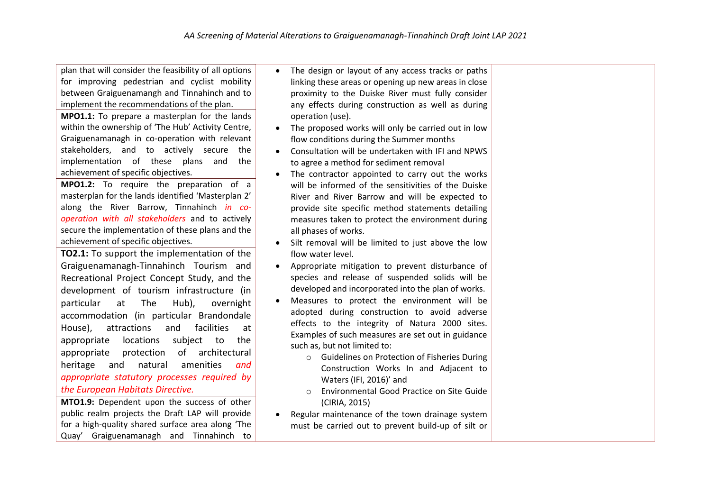plan that will consider the feasibility of all options for improving pedestrian and cyclist mobility between Graiguenamangh and Tinnahinch and to implement the recommendations of the plan.

**MPO1.1:** To prepare a masterplan for the lands within the ownership of 'The Hub' Activity Centre, Graiguenamanagh in co-operation with relevant stakeholders, and to actively secure the implementation of these plans and the achievement of specific objectives.

**MPO1.2:** To require the preparation of a masterplan for the lands identified 'Masterplan 2' along the River Barrow, Tinnahinch *in cooperation with all stakeholders* and to actively secure the implementation of these plans and the achievement of specific objectives.

**TO2.1:** To support the implementation of the Graiguenamanagh-Tinnahinch Tourism and Recreational Project Concept Study, and the development of tourism infrastructure (in particular at The Hub), overnight accommodation (in particular Brandondale House), attractions and facilities at appropriate locations subject to the appropriate protection of architectural heritage and natural amenities *and appropriate statutory processes required by the European Habitats Directive.*

**MTO1.9:** Dependent upon the success of other public realm projects the Draft LAP will provide for a high-quality shared surface area along 'The Quay' Graiguenamanagh and Tinnahinch to

- The design or layout of any access tracks or paths linking these areas or opening up new areas in close proximity to the Duiske River must fully consider any effects during construction as well as during operation (use).
- The proposed works will only be carried out in low flow conditions during the Summer months
- Consultation will be undertaken with IFI and NPWS to agree a method for sediment removal
- The contractor appointed to carry out the works will be informed of the sensitivities of the Duiske River and River Barrow and will be expected to provide site specific method statements detailing measures taken to protect the environment during all phases of works.
- Silt removal will be limited to just above the low flow water level.
- Appropriate mitigation to prevent disturbance of species and release of suspended solids will be developed and incorporated into the plan of works.
- Measures to protect the environment will be adopted during construction to avoid adverse effects to the integrity of Natura 2000 sites. Examples of such measures are set out in guidance such as, but not limited to:
	- o Guidelines on Protection of Fisheries During Construction Works In and Adjacent to Waters (IFI, 2016)' and
	- o Environmental Good Practice on Site Guide (CIRIA, 2015)
- Regular maintenance of the town drainage system must be carried out to prevent build-up of silt or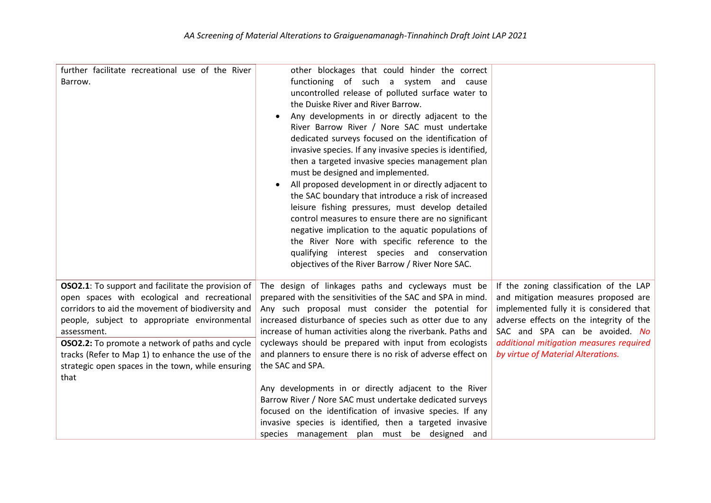| further facilitate recreational use of the River<br>Barrow.                                                                                                                                                                                                                                                                                                                                                | other blockages that could hinder the correct<br>functioning of such a system and cause<br>uncontrolled release of polluted surface water to<br>the Duiske River and River Barrow.<br>Any developments in or directly adjacent to the<br>River Barrow River / Nore SAC must undertake<br>dedicated surveys focused on the identification of<br>invasive species. If any invasive species is identified,<br>then a targeted invasive species management plan<br>must be designed and implemented.<br>All proposed development in or directly adjacent to<br>the SAC boundary that introduce a risk of increased<br>leisure fishing pressures, must develop detailed<br>control measures to ensure there are no significant<br>negative implication to the aquatic populations of<br>the River Nore with specific reference to the<br>qualifying interest species and conservation<br>objectives of the River Barrow / River Nore SAC. |                                                                                                                                                                                                                                                                                          |
|------------------------------------------------------------------------------------------------------------------------------------------------------------------------------------------------------------------------------------------------------------------------------------------------------------------------------------------------------------------------------------------------------------|--------------------------------------------------------------------------------------------------------------------------------------------------------------------------------------------------------------------------------------------------------------------------------------------------------------------------------------------------------------------------------------------------------------------------------------------------------------------------------------------------------------------------------------------------------------------------------------------------------------------------------------------------------------------------------------------------------------------------------------------------------------------------------------------------------------------------------------------------------------------------------------------------------------------------------------|------------------------------------------------------------------------------------------------------------------------------------------------------------------------------------------------------------------------------------------------------------------------------------------|
| <b>OSO2.1</b> : To support and facilitate the provision of<br>open spaces with ecological and recreational<br>corridors to aid the movement of biodiversity and<br>people, subject to appropriate environmental<br>assessment.<br><b>OSO2.2:</b> To promote a network of paths and cycle<br>tracks (Refer to Map 1) to enhance the use of the<br>strategic open spaces in the town, while ensuring<br>that | The design of linkages paths and cycleways must be<br>prepared with the sensitivities of the SAC and SPA in mind.<br>Any such proposal must consider the potential for<br>increased disturbance of species such as otter due to any<br>increase of human activities along the riverbank. Paths and<br>cycleways should be prepared with input from ecologists<br>and planners to ensure there is no risk of adverse effect on<br>the SAC and SPA.<br>Any developments in or directly adjacent to the River<br>Barrow River / Nore SAC must undertake dedicated surveys<br>focused on the identification of invasive species. If any<br>invasive species is identified, then a targeted invasive<br>species management plan must be designed and                                                                                                                                                                                      | If the zoning classification of the LAP<br>and mitigation measures proposed are<br>implemented fully it is considered that<br>adverse effects on the integrity of the<br>SAC and SPA can be avoided. No<br>additional mitigation measures required<br>by virtue of Material Alterations. |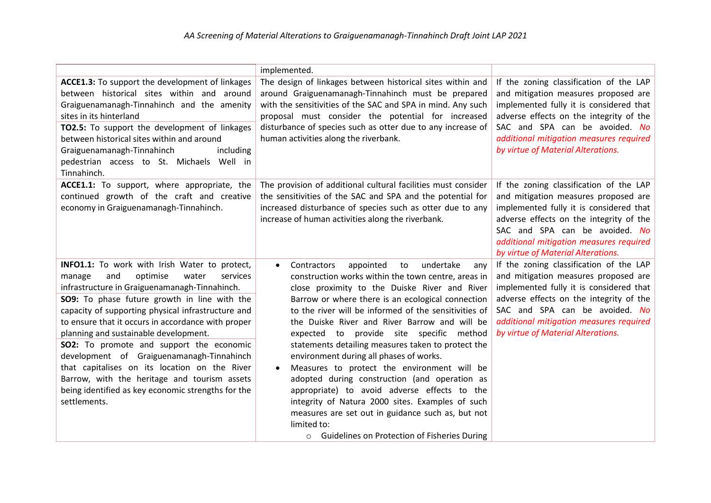|                                                                                                                                                                                                                                                                                                                                                                                                                                                                                                                                                                                                                              | implemented.                                                                                                                                                                                                                                                                                                                                                                                                                                                                                                                                                                                                                                                                                                                                                                                                                  |                                                                                                                                                                                                                                                                                          |
|------------------------------------------------------------------------------------------------------------------------------------------------------------------------------------------------------------------------------------------------------------------------------------------------------------------------------------------------------------------------------------------------------------------------------------------------------------------------------------------------------------------------------------------------------------------------------------------------------------------------------|-------------------------------------------------------------------------------------------------------------------------------------------------------------------------------------------------------------------------------------------------------------------------------------------------------------------------------------------------------------------------------------------------------------------------------------------------------------------------------------------------------------------------------------------------------------------------------------------------------------------------------------------------------------------------------------------------------------------------------------------------------------------------------------------------------------------------------|------------------------------------------------------------------------------------------------------------------------------------------------------------------------------------------------------------------------------------------------------------------------------------------|
| ACCE1.3: To support the development of linkages<br>between historical sites within and around<br>Graiguenamanagh-Tinnahinch and the amenity<br>sites in its hinterland<br>TO2.5: To support the development of linkages<br>between historical sites within and around<br>including<br>Graiguenamanagh-Tinnahinch<br>pedestrian access to St. Michaels Well in<br>Tinnahinch.                                                                                                                                                                                                                                                 | The design of linkages between historical sites within and<br>around Graiguenamanagh-Tinnahinch must be prepared<br>with the sensitivities of the SAC and SPA in mind. Any such<br>proposal must consider the potential for increased<br>disturbance of species such as otter due to any increase of<br>human activities along the riverbank.                                                                                                                                                                                                                                                                                                                                                                                                                                                                                 | If the zoning classification of the LAP<br>and mitigation measures proposed are<br>implemented fully it is considered that<br>adverse effects on the integrity of the<br>SAC and SPA can be avoided. No<br>additional mitigation measures required<br>by virtue of Material Alterations. |
| ACCE1.1: To support, where appropriate, the<br>continued growth of the craft and creative<br>economy in Graiguenamanagh-Tinnahinch.                                                                                                                                                                                                                                                                                                                                                                                                                                                                                          | The provision of additional cultural facilities must consider<br>the sensitivities of the SAC and SPA and the potential for<br>increased disturbance of species such as otter due to any<br>increase of human activities along the riverbank.                                                                                                                                                                                                                                                                                                                                                                                                                                                                                                                                                                                 | If the zoning classification of the LAP<br>and mitigation measures proposed are<br>implemented fully it is considered that<br>adverse effects on the integrity of the<br>SAC and SPA can be avoided. No<br>additional mitigation measures required<br>by virtue of Material Alterations. |
| INFO1.1: To work with Irish Water to protect,<br>optimise<br>manage<br>and<br>water<br>services<br>infrastructure in Graiguenamanagh-Tinnahinch.<br>SO9: To phase future growth in line with the<br>capacity of supporting physical infrastructure and<br>to ensure that it occurs in accordance with proper<br>planning and sustainable development.<br><b>SO2:</b> To promote and support the economic<br>development of Graiguenamanagh-Tinnahinch<br>that capitalises on its location on the River<br>Barrow, with the heritage and tourism assets<br>being identified as key economic strengths for the<br>settlements. | Contractors<br>appointed<br>to<br>undertake<br>any<br>$\bullet$<br>construction works within the town centre, areas in<br>close proximity to the Duiske River and River<br>Barrow or where there is an ecological connection<br>to the river will be informed of the sensitivities of<br>the Duiske River and River Barrow and will be<br>expected to provide site specific method<br>statements detailing measures taken to protect the<br>environment during all phases of works.<br>Measures to protect the environment will be<br>adopted during construction (and operation as<br>appropriate) to avoid adverse effects to the<br>integrity of Natura 2000 sites. Examples of such<br>measures are set out in guidance such as, but not<br>limited to:<br><b>Guidelines on Protection of Fisheries During</b><br>$\circ$ | If the zoning classification of the LAP<br>and mitigation measures proposed are<br>implemented fully it is considered that<br>adverse effects on the integrity of the<br>SAC and SPA can be avoided. No<br>additional mitigation measures required<br>by virtue of Material Alterations. |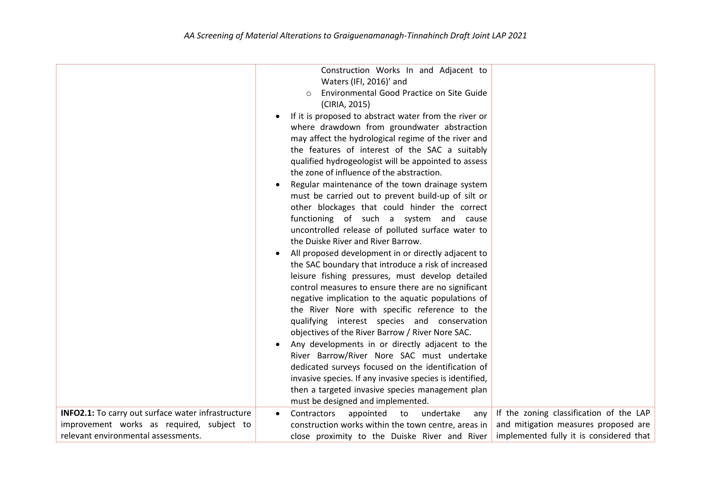|                                                    | Construction Works In and Adjacent to<br>Waters (IFI, 2016)' and<br>Environmental Good Practice on Site Guide<br>(CIRIA, 2015)<br>If it is proposed to abstract water from the river or<br>where drawdown from groundwater abstraction<br>may affect the hydrological regime of the river and<br>the features of interest of the SAC a suitably<br>qualified hydrogeologist will be appointed to assess<br>the zone of influence of the abstraction.<br>Regular maintenance of the town drainage system<br>must be carried out to prevent build-up of silt or<br>other blockages that could hinder the correct<br>functioning of such a system and cause<br>uncontrolled release of polluted surface water to<br>the Duiske River and River Barrow.<br>All proposed development in or directly adjacent to<br>the SAC boundary that introduce a risk of increased<br>leisure fishing pressures, must develop detailed<br>control measures to ensure there are no significant<br>negative implication to the aquatic populations of<br>the River Nore with specific reference to the<br>qualifying interest species and conservation<br>objectives of the River Barrow / River Nore SAC.<br>Any developments in or directly adjacent to the<br>River Barrow/River Nore SAC must undertake<br>dedicated surveys focused on the identification of<br>invasive species. If any invasive species is identified,<br>then a targeted invasive species management plan |                                         |
|----------------------------------------------------|----------------------------------------------------------------------------------------------------------------------------------------------------------------------------------------------------------------------------------------------------------------------------------------------------------------------------------------------------------------------------------------------------------------------------------------------------------------------------------------------------------------------------------------------------------------------------------------------------------------------------------------------------------------------------------------------------------------------------------------------------------------------------------------------------------------------------------------------------------------------------------------------------------------------------------------------------------------------------------------------------------------------------------------------------------------------------------------------------------------------------------------------------------------------------------------------------------------------------------------------------------------------------------------------------------------------------------------------------------------------------------------------------------------------------------------------------------------|-----------------------------------------|
| INFO2.1: To carry out surface water infrastructure | must be designed and implemented.<br>Contractors<br>undertake<br>appointed<br>to<br>any                                                                                                                                                                                                                                                                                                                                                                                                                                                                                                                                                                                                                                                                                                                                                                                                                                                                                                                                                                                                                                                                                                                                                                                                                                                                                                                                                                        | If the zoning classification of the LAP |
| improvement works as required, subject to          | construction works within the town centre, areas in                                                                                                                                                                                                                                                                                                                                                                                                                                                                                                                                                                                                                                                                                                                                                                                                                                                                                                                                                                                                                                                                                                                                                                                                                                                                                                                                                                                                            | and mitigation measures proposed are    |
| relevant environmental assessments.                | close proximity to the Duiske River and River                                                                                                                                                                                                                                                                                                                                                                                                                                                                                                                                                                                                                                                                                                                                                                                                                                                                                                                                                                                                                                                                                                                                                                                                                                                                                                                                                                                                                  | implemented fully it is considered that |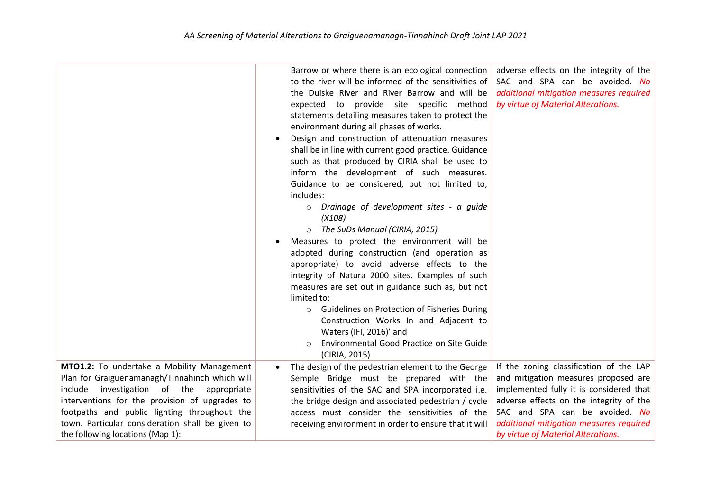|                                                                                                                                                                                                                                                                                                                                          | Barrow or where there is an ecological connection<br>to the river will be informed of the sensitivities of<br>the Duiske River and River Barrow and will be<br>expected to provide site specific method<br>statements detailing measures taken to protect the<br>environment during all phases of works.<br>Design and construction of attenuation measures<br>shall be in line with current good practice. Guidance<br>such as that produced by CIRIA shall be used to<br>inform the development of such measures.<br>Guidance to be considered, but not limited to,<br>includes:<br>Drainage of development sites - a guide<br>$\circ$<br>(X108)<br>The SuDs Manual (CIRIA, 2015)<br>Measures to protect the environment will be<br>٠<br>adopted during construction (and operation as<br>appropriate) to avoid adverse effects to the<br>integrity of Natura 2000 sites. Examples of such<br>measures are set out in guidance such as, but not<br>limited to:<br><b>Guidelines on Protection of Fisheries During</b><br>$\circ$<br>Construction Works In and Adjacent to<br>Waters (IFI, 2016)' and<br>Environmental Good Practice on Site Guide<br>(CIRIA, 2015) | adverse effects on the integrity of the<br>SAC and SPA can be avoided. No<br>additional mitigation measures required<br>by virtue of Material Alterations.                                                                                                                               |
|------------------------------------------------------------------------------------------------------------------------------------------------------------------------------------------------------------------------------------------------------------------------------------------------------------------------------------------|----------------------------------------------------------------------------------------------------------------------------------------------------------------------------------------------------------------------------------------------------------------------------------------------------------------------------------------------------------------------------------------------------------------------------------------------------------------------------------------------------------------------------------------------------------------------------------------------------------------------------------------------------------------------------------------------------------------------------------------------------------------------------------------------------------------------------------------------------------------------------------------------------------------------------------------------------------------------------------------------------------------------------------------------------------------------------------------------------------------------------------------------------------------------|------------------------------------------------------------------------------------------------------------------------------------------------------------------------------------------------------------------------------------------------------------------------------------------|
| MTO1.2: To undertake a Mobility Management<br>Plan for Graiguenamanagh/Tinnahinch which will<br>include<br>investigation of the<br>appropriate<br>interventions for the provision of upgrades to<br>footpaths and public lighting throughout the<br>town. Particular consideration shall be given to<br>the following locations (Map 1): | The design of the pedestrian element to the George<br>$\bullet$<br>Semple Bridge must be prepared with the<br>sensitivities of the SAC and SPA incorporated i.e.<br>the bridge design and associated pedestrian / cycle<br>access must consider the sensitivities of the<br>receiving environment in order to ensure that it will                                                                                                                                                                                                                                                                                                                                                                                                                                                                                                                                                                                                                                                                                                                                                                                                                                    | If the zoning classification of the LAP<br>and mitigation measures proposed are<br>implemented fully it is considered that<br>adverse effects on the integrity of the<br>SAC and SPA can be avoided. No<br>additional mitigation measures required<br>by virtue of Material Alterations. |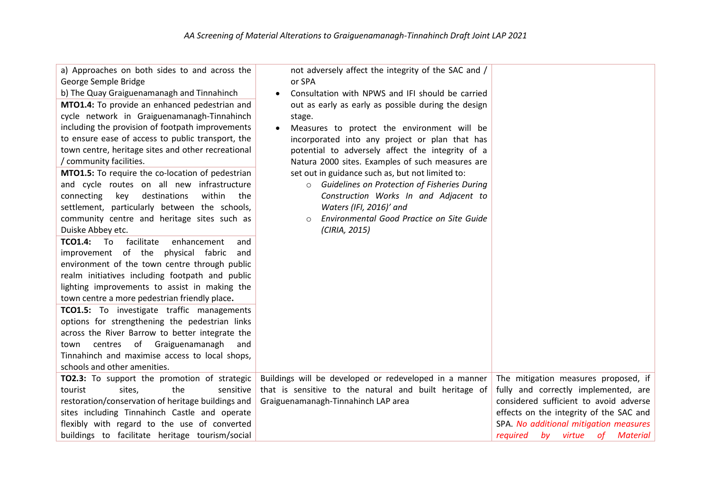| a) Approaches on both sides to and across the<br>George Semple Bridge<br>b) The Quay Graiguenamanagh and Tinnahinch<br>MTO1.4: To provide an enhanced pedestrian and<br>cycle network in Graiguenamanagh-Tinnahinch<br>including the provision of footpath improvements<br>to ensure ease of access to public transport, the<br>town centre, heritage sites and other recreational                                                                                                                                                                                                                                                                                                                                                                                                                                                                                                                 | not adversely affect the integrity of the SAC and /<br>or SPA<br>Consultation with NPWS and IFI should be carried<br>out as early as early as possible during the design<br>stage.<br>Measures to protect the environment will be<br>incorporated into any project or plan that has<br>potential to adversely affect the integrity of a |                                         |
|----------------------------------------------------------------------------------------------------------------------------------------------------------------------------------------------------------------------------------------------------------------------------------------------------------------------------------------------------------------------------------------------------------------------------------------------------------------------------------------------------------------------------------------------------------------------------------------------------------------------------------------------------------------------------------------------------------------------------------------------------------------------------------------------------------------------------------------------------------------------------------------------------|-----------------------------------------------------------------------------------------------------------------------------------------------------------------------------------------------------------------------------------------------------------------------------------------------------------------------------------------|-----------------------------------------|
| / community facilities.<br>MTO1.5: To require the co-location of pedestrian<br>and cycle routes on all new infrastructure<br>within<br>connecting<br>destinations<br>key<br>the<br>settlement, particularly between the schools,<br>community centre and heritage sites such as<br>Duiske Abbey etc.<br><b>TCO1.4:</b> To<br>facilitate<br>enhancement<br>and<br>improvement of the physical fabric<br>and<br>environment of the town centre through public<br>realm initiatives including footpath and public<br>lighting improvements to assist in making the<br>town centre a more pedestrian friendly place.<br>TCO1.5: To investigate traffic managements<br>options for strengthening the pedestrian links<br>across the River Barrow to better integrate the<br>centres of Graiguenamanagh<br>town<br>and<br>Tinnahinch and maximise access to local shops,<br>schools and other amenities. | Natura 2000 sites. Examples of such measures are<br>set out in guidance such as, but not limited to:<br>Guidelines on Protection of Fisheries During<br>$\circ$<br>Construction Works In and Adjacent to<br>Waters (IFI, 2016)' and<br>Environmental Good Practice on Site Guide<br>$\circ$<br>(CIRIA, 2015)                            |                                         |
| TO2.3: To support the promotion of strategic                                                                                                                                                                                                                                                                                                                                                                                                                                                                                                                                                                                                                                                                                                                                                                                                                                                       | Buildings will be developed or redeveloped in a manner                                                                                                                                                                                                                                                                                  | The mitigation measures proposed, if    |
| the<br>tourist<br>sites,<br>sensitive                                                                                                                                                                                                                                                                                                                                                                                                                                                                                                                                                                                                                                                                                                                                                                                                                                                              | that is sensitive to the natural and built heritage of                                                                                                                                                                                                                                                                                  | fully and correctly implemented, are    |
| restoration/conservation of heritage buildings and                                                                                                                                                                                                                                                                                                                                                                                                                                                                                                                                                                                                                                                                                                                                                                                                                                                 | Graiguenamanagh-Tinnahinch LAP area                                                                                                                                                                                                                                                                                                     | considered sufficient to avoid adverse  |
| sites including Tinnahinch Castle and operate                                                                                                                                                                                                                                                                                                                                                                                                                                                                                                                                                                                                                                                                                                                                                                                                                                                      |                                                                                                                                                                                                                                                                                                                                         | effects on the integrity of the SAC and |
| flexibly with regard to the use of converted                                                                                                                                                                                                                                                                                                                                                                                                                                                                                                                                                                                                                                                                                                                                                                                                                                                       |                                                                                                                                                                                                                                                                                                                                         | SPA. No additional mitigation measures  |
| buildings to facilitate heritage tourism/social                                                                                                                                                                                                                                                                                                                                                                                                                                                                                                                                                                                                                                                                                                                                                                                                                                                    |                                                                                                                                                                                                                                                                                                                                         | by virtue<br>required<br>0f<br>Material |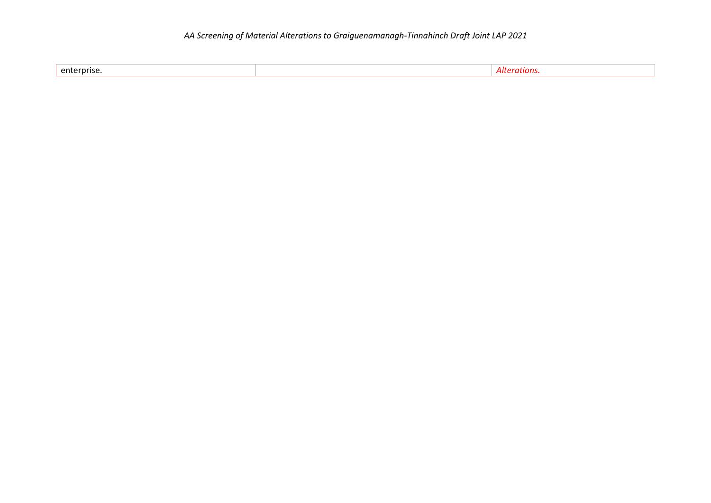| enterprise. |
|-------------|
|-------------|